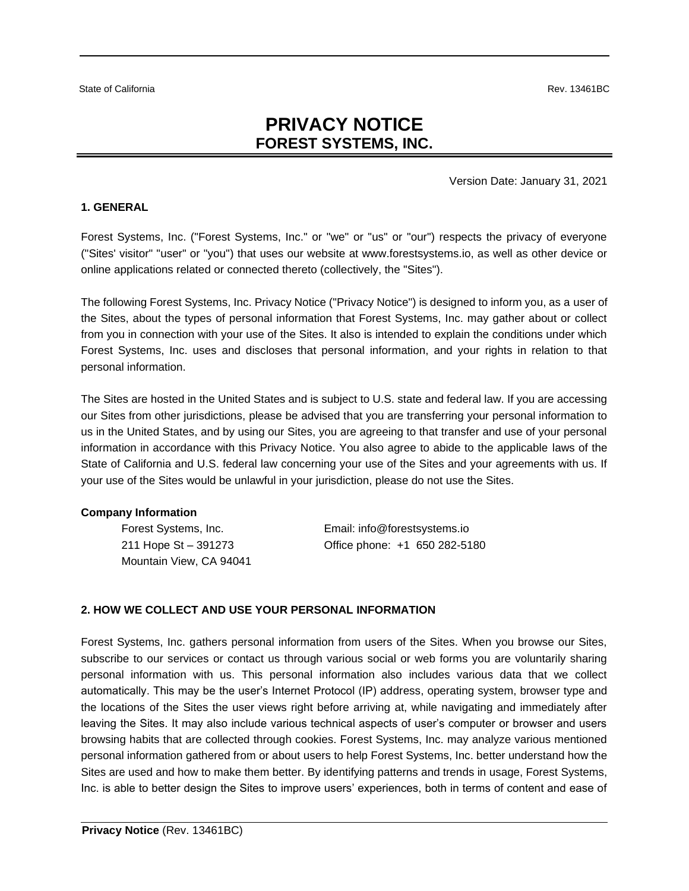# **PRIVACY NOTICE FOREST SYSTEMS, INC.**

#### Version Date: January 31, 2021

### **1. GENERAL**

Forest Systems, Inc. ("Forest Systems, Inc." or "we" or "us" or "our") respects the privacy of everyone ("Sites' visitor" "user" or "you") that uses our website at www.forestsystems.io, as well as other device or online applications related or connected thereto (collectively, the "Sites").

The following Forest Systems, Inc. Privacy Notice ("Privacy Notice") is designed to inform you, as a user of the Sites, about the types of personal information that Forest Systems, Inc. may gather about or collect from you in connection with your use of the Sites. It also is intended to explain the conditions under which Forest Systems, Inc. uses and discloses that personal information, and your rights in relation to that personal information.

The Sites are hosted in the United States and is subject to U.S. state and federal law. If you are accessing our Sites from other jurisdictions, please be advised that you are transferring your personal information to us in the United States, and by using our Sites, you are agreeing to that transfer and use of your personal information in accordance with this Privacy Notice. You also agree to abide to the applicable laws of the State of California and U.S. federal law concerning your use of the Sites and your agreements with us. If your use of the Sites would be unlawful in your jurisdiction, please do not use the Sites.

282-5180

#### **Company Information**

| Forest Systems, Inc.    | Email: info@forestsystems.io |
|-------------------------|------------------------------|
| 211 Hope St – 391273    | Office phone: +1 650 282-5   |
| Mountain View, CA 94041 |                              |

### **2. HOW WE COLLECT AND USE YOUR PERSONAL INFORMATION**

Forest Systems, Inc. gathers personal information from users of the Sites. When you browse our Sites, subscribe to our services or contact us through various social or web forms you are voluntarily sharing personal information with us. This personal information also includes various data that we collect automatically. This may be the user's Internet Protocol (IP) address, operating system, browser type and the locations of the Sites the user views right before arriving at, while navigating and immediately after leaving the Sites. It may also include various technical aspects of user's computer or browser and users browsing habits that are collected through cookies. Forest Systems, Inc. may analyze various mentioned personal information gathered from or about users to help Forest Systems, Inc. better understand how the Sites are used and how to make them better. By identifying patterns and trends in usage, Forest Systems, Inc. is able to better design the Sites to improve users' experiences, both in terms of content and ease of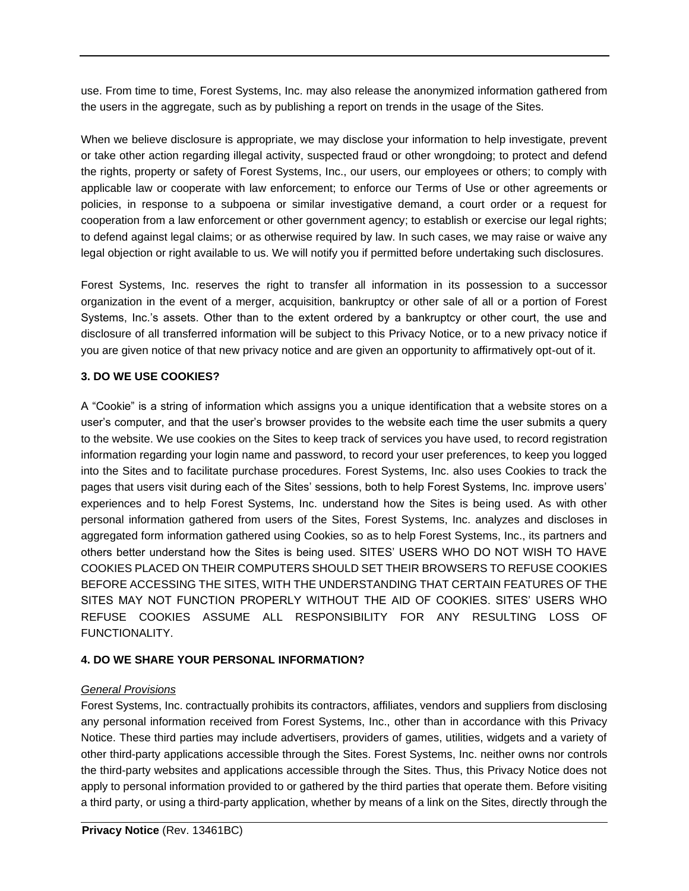use. From time to time, Forest Systems, Inc. may also release the anonymized information gathered from the users in the aggregate, such as by publishing a report on trends in the usage of the Sites.

When we believe disclosure is appropriate, we may disclose your information to help investigate, prevent or take other action regarding illegal activity, suspected fraud or other wrongdoing; to protect and defend the rights, property or safety of Forest Systems, Inc., our users, our employees or others; to comply with applicable law or cooperate with law enforcement; to enforce our Terms of Use or other agreements or policies, in response to a subpoena or similar investigative demand, a court order or a request for cooperation from a law enforcement or other government agency; to establish or exercise our legal rights; to defend against legal claims; or as otherwise required by law. In such cases, we may raise or waive any legal objection or right available to us. We will notify you if permitted before undertaking such disclosures.

Forest Systems, Inc. reserves the right to transfer all information in its possession to a successor organization in the event of a merger, acquisition, bankruptcy or other sale of all or a portion of Forest Systems, Inc.'s assets. Other than to the extent ordered by a bankruptcy or other court, the use and disclosure of all transferred information will be subject to this Privacy Notice, or to a new privacy notice if you are given notice of that new privacy notice and are given an opportunity to affirmatively opt-out of it.

### **3. DO WE USE COOKIES?**

A "Cookie" is a string of information which assigns you a unique identification that a website stores on a user's computer, and that the user's browser provides to the website each time the user submits a query to the website. We use cookies on the Sites to keep track of services you have used, to record registration information regarding your login name and password, to record your user preferences, to keep you logged into the Sites and to facilitate purchase procedures. Forest Systems, Inc. also uses Cookies to track the pages that users visit during each of the Sites' sessions, both to help Forest Systems, Inc. improve users' experiences and to help Forest Systems, Inc. understand how the Sites is being used. As with other personal information gathered from users of the Sites, Forest Systems, Inc. analyzes and discloses in aggregated form information gathered using Cookies, so as to help Forest Systems, Inc., its partners and others better understand how the Sites is being used. SITES' USERS WHO DO NOT WISH TO HAVE COOKIES PLACED ON THEIR COMPUTERS SHOULD SET THEIR BROWSERS TO REFUSE COOKIES BEFORE ACCESSING THE SITES, WITH THE UNDERSTANDING THAT CERTAIN FEATURES OF THE SITES MAY NOT FUNCTION PROPERLY WITHOUT THE AID OF COOKIES. SITES' USERS WHO REFUSE COOKIES ASSUME ALL RESPONSIBILITY FOR ANY RESULTING LOSS OF FUNCTIONALITY.

## **4. DO WE SHARE YOUR PERSONAL INFORMATION?**

### *General Provisions*

Forest Systems, Inc. contractually prohibits its contractors, affiliates, vendors and suppliers from disclosing any personal information received from Forest Systems, Inc., other than in accordance with this Privacy Notice. These third parties may include advertisers, providers of games, utilities, widgets and a variety of other third-party applications accessible through the Sites. Forest Systems, Inc. neither owns nor controls the third-party websites and applications accessible through the Sites. Thus, this Privacy Notice does not apply to personal information provided to or gathered by the third parties that operate them. Before visiting a third party, or using a third-party application, whether by means of a link on the Sites, directly through the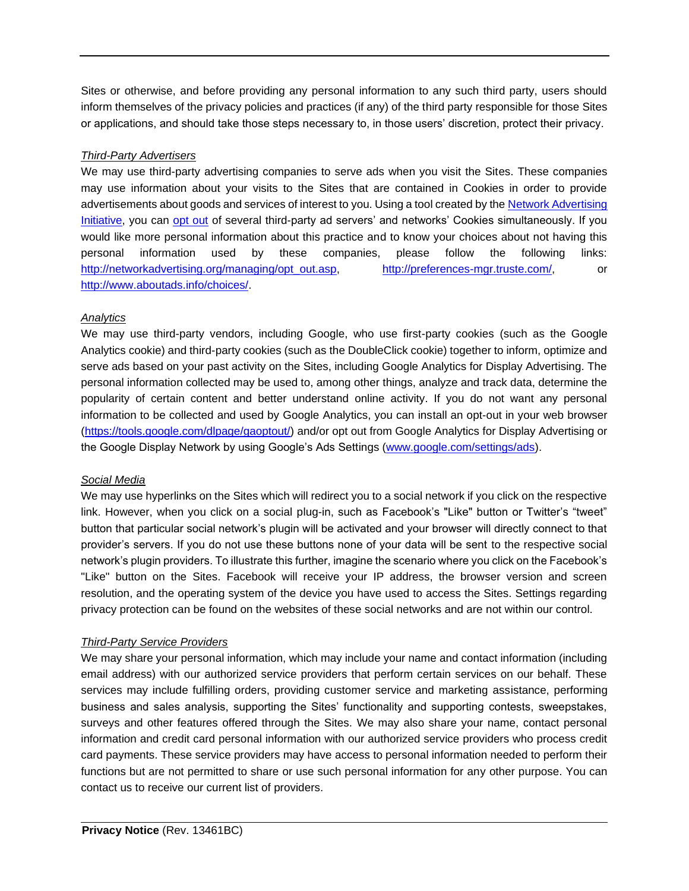Sites or otherwise, and before providing any personal information to any such third party, users should inform themselves of the privacy policies and practices (if any) of the third party responsible for those Sites or applications, and should take those steps necessary to, in those users' discretion, protect their privacy.

### *Third-Party Advertisers*

We may use third-party advertising companies to serve ads when you visit the Sites. These companies may use information about your visits to the Sites that are contained in Cookies in order to provide advertisements about goods and services of interest to you. Using a tool created by th[e Network Advertising](http://networkadvertising.org/)  [Initiative,](http://networkadvertising.org/) you can [opt out](http://networkadvertising.org/managing/opt_out.asp) of several third-party ad servers' and networks' Cookies simultaneously. If you would like more personal information about this practice and to know your choices about not having this personal information used by these companies, please follow the following links: [http://networkadvertising.org/managing/opt\\_out.asp,](http://networkadvertising.org/managing/opt_out.asp) [http://preferences-mgr.truste.com/,](http://preferences-mgr.truste.com/) or [http://www.aboutads.info/choices/.](http://www.aboutads.info/choices/)

### *Analytics*

We may use third-party vendors, including Google, who use first-party cookies (such as the Google Analytics cookie) and third-party cookies (such as the DoubleClick cookie) together to inform, optimize and serve ads based on your past activity on the Sites, including Google Analytics for Display Advertising. The personal information collected may be used to, among other things, analyze and track data, determine the popularity of certain content and better understand online activity. If you do not want any personal information to be collected and used by Google Analytics, you can install an opt-out in your web browser [\(https://tools.google.com/dlpage/gaoptout/\)](https://tools.google.com/dlpage/gaoptout/) and/or opt out from Google Analytics for Display Advertising or the Google Display Network by using Google's Ads Settings [\(www.google.com/settings/ads\)](http://www.google.com/settings/ads).

### *Social Media*

We may use hyperlinks on the Sites which will redirect you to a social network if you click on the respective link. However, when you click on a social plug-in, such as Facebook's "Like" button or Twitter's "tweet" button that particular social network's plugin will be activated and your browser will directly connect to that provider's servers. If you do not use these buttons none of your data will be sent to the respective social network's plugin providers. To illustrate this further, imagine the scenario where you click on the Facebook's "Like" button on the Sites. Facebook will receive your IP address, the browser version and screen resolution, and the operating system of the device you have used to access the Sites. Settings regarding privacy protection can be found on the websites of these social networks and are not within our control.

### *Third-Party Service Providers*

We may share your personal information, which may include your name and contact information (including email address) with our authorized service providers that perform certain services on our behalf. These services may include fulfilling orders, providing customer service and marketing assistance, performing business and sales analysis, supporting the Sites' functionality and supporting contests, sweepstakes, surveys and other features offered through the Sites. We may also share your name, contact personal information and credit card personal information with our authorized service providers who process credit card payments. These service providers may have access to personal information needed to perform their functions but are not permitted to share or use such personal information for any other purpose. You can contact us to receive our current list of providers.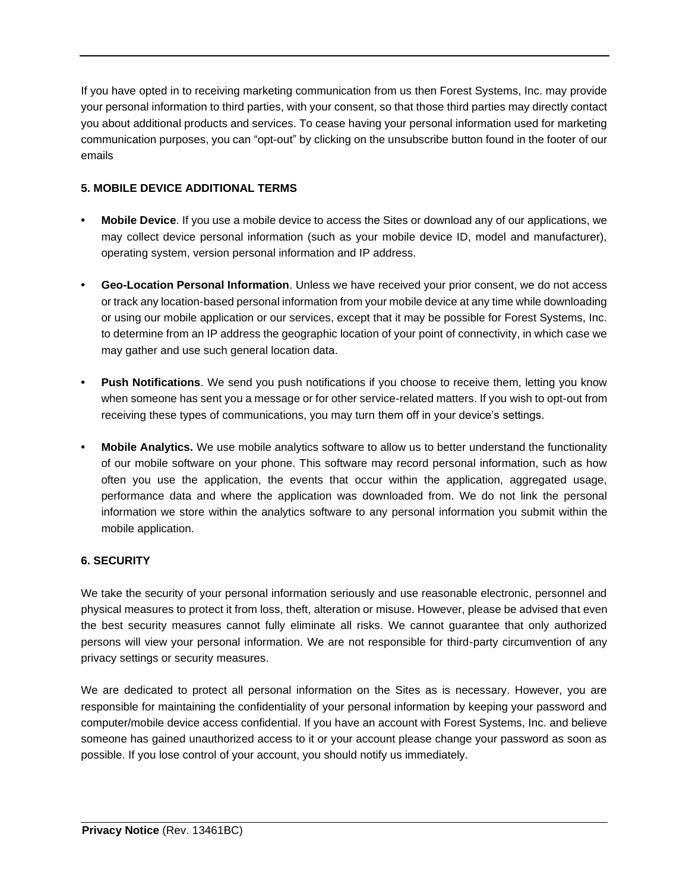If you have opted in to receiving marketing communication from us then Forest Systems, Inc. may provide your personal information to third parties, with your consent, so that those third parties may directly contact you about additional products and services. To cease having your personal information used for marketing communication purposes, you can "opt-out" by clicking on the unsubscribe button found in the footer of our emails

# **5. MOBILE DEVICE ADDITIONAL TERMS**

- **• Mobile Device**. If you use a mobile device to access the Sites or download any of our applications, we may collect device personal information (such as your mobile device ID, model and manufacturer), operating system, version personal information and IP address.
- **• Geo-Location Personal Information**. Unless we have received your prior consent, we do not access or track any location-based personal information from your mobile device at any time while downloading or using our mobile application or our services, except that it may be possible for Forest Systems, Inc. to determine from an IP address the geographic location of your point of connectivity, in which case we may gather and use such general location data.
- **• Push Notifications**. We send you push notifications if you choose to receive them, letting you know when someone has sent you a message or for other service-related matters. If you wish to opt-out from receiving these types of communications, you may turn them off in your device's settings.
- **• Mobile Analytics.** We use mobile analytics software to allow us to better understand the functionality of our mobile software on your phone. This software may record personal information, such as how often you use the application, the events that occur within the application, aggregated usage, performance data and where the application was downloaded from. We do not link the personal information we store within the analytics software to any personal information you submit within the mobile application.

# **6. SECURITY**

We take the security of your personal information seriously and use reasonable electronic, personnel and physical measures to protect it from loss, theft, alteration or misuse. However, please be advised that even the best security measures cannot fully eliminate all risks. We cannot guarantee that only authorized persons will view your personal information. We are not responsible for third-party circumvention of any privacy settings or security measures.

We are dedicated to protect all personal information on the Sites as is necessary. However, you are responsible for maintaining the confidentiality of your personal information by keeping your password and computer/mobile device access confidential. If you have an account with Forest Systems, Inc. and believe someone has gained unauthorized access to it or your account please change your password as soon as possible. If you lose control of your account, you should notify us immediately.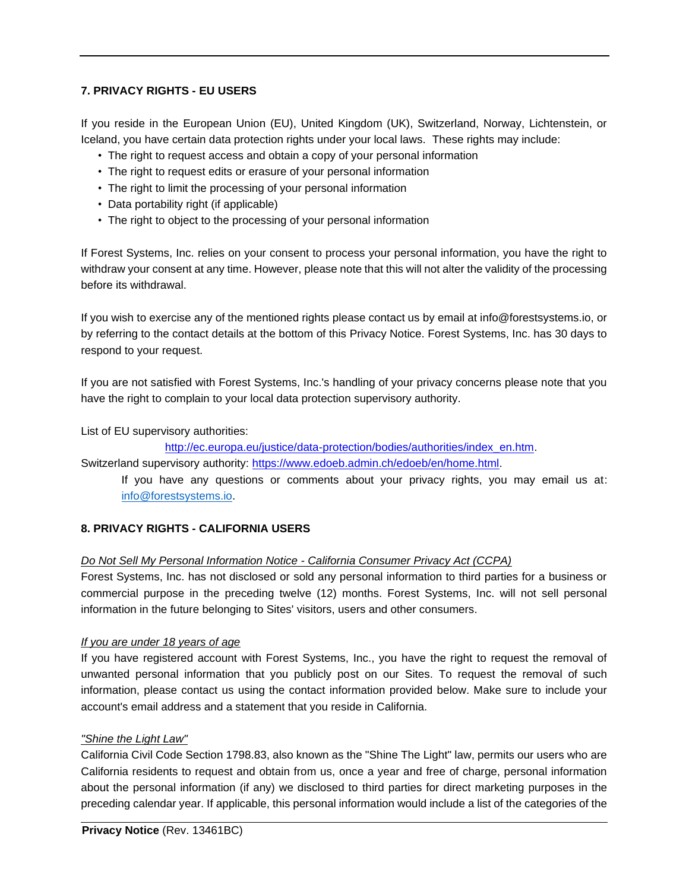## **7. PRIVACY RIGHTS - EU USERS**

If you reside in the European Union (EU), United Kingdom (UK), Switzerland, Norway, Lichtenstein, or Iceland, you have certain data protection rights under your local laws. These rights may include:

- The right to request access and obtain a copy of your personal information
- The right to request edits or erasure of your personal information
- The right to limit the processing of your personal information
- Data portability right (if applicable)
- The right to object to the processing of your personal information

If Forest Systems, Inc. relies on your consent to process your personal information, you have the right to withdraw your consent at any time. However, please note that this will not alter the validity of the processing before its withdrawal.

If you wish to exercise any of the mentioned rights please contact us by email at info@forestsystems.io, or by referring to the contact details at the bottom of this Privacy Notice. Forest Systems, Inc. has 30 days to respond to your request.

If you are not satisfied with Forest Systems, Inc.'s handling of your privacy concerns please note that you have the right to complain to your local data protection supervisory authority.

List of EU supervisory authorities:

[http://ec.europa.eu/justice/data-protection/bodies/authorities/index\\_en.htm.](http://ec.europa.eu/justice/data-protection/bodies/authorities/index_en.htm)

Switzerland supervisory authority: [https://www.edoeb.admin.ch/edoeb/en/home.html.](https://www.edoeb.admin.ch/edoeb/en/home.html)

If you have any questions or comments about your privacy rights, you may email us at: [info@forestsystems.io.](mailto:info@forestsystems.io)

## **8. PRIVACY RIGHTS - CALIFORNIA USERS**

## *Do Not Sell My Personal Information Notice - California Consumer Privacy Act (CCPA)*

Forest Systems, Inc. has not disclosed or sold any personal information to third parties for a business or commercial purpose in the preceding twelve (12) months. Forest Systems, Inc. will not sell personal information in the future belonging to Sites' visitors, users and other consumers.

## *If you are under 18 years of age*

If you have registered account with Forest Systems, Inc., you have the right to request the removal of unwanted personal information that you publicly post on our Sites. To request the removal of such information, please contact us using the contact information provided below. Make sure to include your account's email address and a statement that you reside in California.

### *"Shine the Light Law"*

California Civil Code Section 1798.83, also known as the "Shine The Light" law, permits our users who are California residents to request and obtain from us, once a year and free of charge, personal information about the personal information (if any) we disclosed to third parties for direct marketing purposes in the preceding calendar year. If applicable, this personal information would include a list of the categories of the